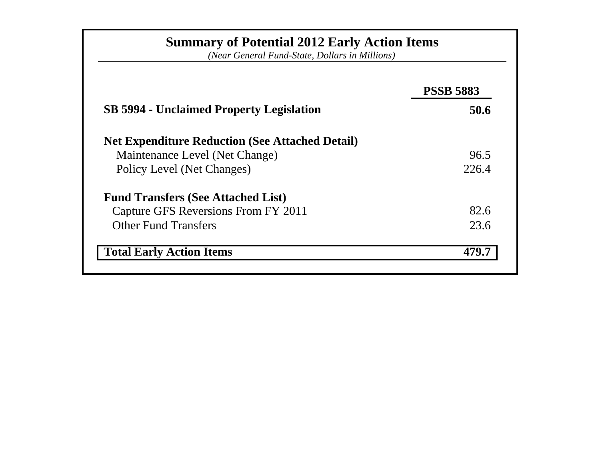|                                                        | <b>PSSB 5883</b> |
|--------------------------------------------------------|------------------|
| <b>SB 5994 - Unclaimed Property Legislation</b>        | 50.6             |
| <b>Net Expenditure Reduction (See Attached Detail)</b> |                  |
| Maintenance Level (Net Change)                         | 96.5             |
| Policy Level (Net Changes)                             | 226.4            |
| <b>Fund Transfers (See Attached List)</b>              |                  |
| Capture GFS Reversions From FY 2011                    | 82.6             |
| <b>Other Fund Transfers</b>                            | 23.6             |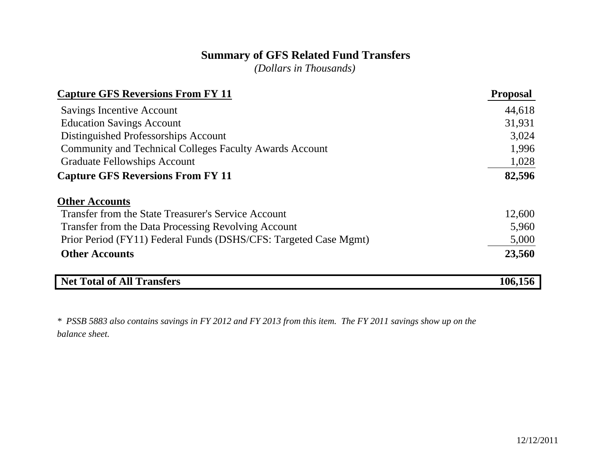## **Summary of GFS Related Fund Transfers**

*(Dollars in Thousands)*

| <b>Capture GFS Reversions From FY 11</b>                         | <b>Proposal</b> |
|------------------------------------------------------------------|-----------------|
| <b>Savings Incentive Account</b>                                 | 44,618          |
| <b>Education Savings Account</b>                                 | 31,931          |
| Distinguished Professorships Account                             | 3,024           |
| <b>Community and Technical Colleges Faculty Awards Account</b>   | 1,996           |
| <b>Graduate Fellowships Account</b>                              | 1,028           |
| <b>Capture GFS Reversions From FY 11</b>                         | 82,596          |
| <b>Other Accounts</b>                                            |                 |
| Transfer from the State Treasurer's Service Account              | 12,600          |
| Transfer from the Data Processing Revolving Account              | 5,960           |
| Prior Period (FY11) Federal Funds (DSHS/CFS: Targeted Case Mgmt) | 5,000           |
| <b>Other Accounts</b>                                            | 23,560          |
| <b>Net Total of All Transfers</b>                                | 106,156         |

*\* PSSB 5883 also contains savings in FY 2012 and FY 2013 from this item. The FY 2011 savings show up on the balance sheet.*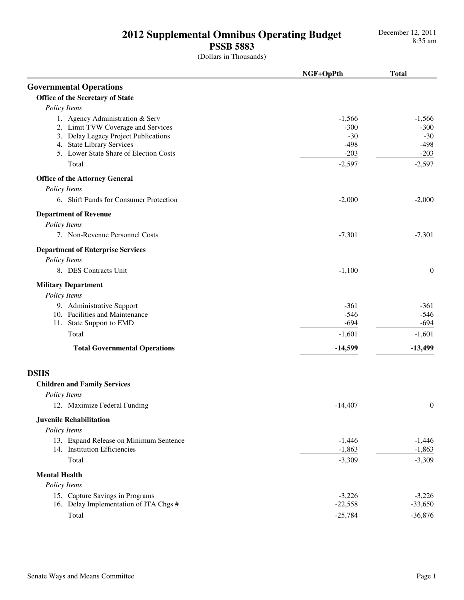## **PSSB 5883**

|                                          | NGF+OpPth            | <b>Total</b>     |
|------------------------------------------|----------------------|------------------|
| <b>Governmental Operations</b>           |                      |                  |
| Office of the Secretary of State         |                      |                  |
| Policy Items                             |                      |                  |
| 1. Agency Administration & Serv          | $-1,566$             | $-1,566$         |
| 2. Limit TVW Coverage and Services       | $-300$               | $-300$           |
| 3. Delay Legacy Project Publications     | $-30$                | $-30$            |
| 4. State Library Services                | $-498$               | $-498$           |
| 5. Lower State Share of Election Costs   | $-203$               | $-203$           |
| Total                                    | $-2,597$             | $-2,597$         |
| <b>Office of the Attorney General</b>    |                      |                  |
| Policy Items                             |                      |                  |
| 6. Shift Funds for Consumer Protection   | $-2,000$             | $-2,000$         |
| <b>Department of Revenue</b>             |                      |                  |
| Policy Items                             |                      |                  |
| 7. Non-Revenue Personnel Costs           | $-7,301$             | $-7,301$         |
| <b>Department of Enterprise Services</b> |                      |                  |
| Policy Items                             |                      |                  |
| 8. DES Contracts Unit                    | $-1,100$             | $\boldsymbol{0}$ |
| <b>Military Department</b>               |                      |                  |
| Policy Items                             |                      |                  |
| 9. Administrative Support                | $-361$               | $-361$           |
| 10. Facilities and Maintenance           | $-546$               | $-546$           |
| 11. State Support to EMD                 | $-694$               | $-694$           |
| Total                                    | $-1,601$             | $-1,601$         |
| <b>Total Governmental Operations</b>     | $-14,599$            | $-13,499$        |
| <b>DSHS</b>                              |                      |                  |
| <b>Children and Family Services</b>      |                      |                  |
| Policy Items                             |                      |                  |
| 12. Maximize Federal Funding             | $-14,407$            | $\theta$         |
| <b>Juvenile Rehabilitation</b>           |                      |                  |
| Policy Items                             |                      |                  |
| 13. Expand Release on Minimum Sentence   |                      | $-1,446$         |
| 14. Institution Efficiencies             | $-1,446$<br>$-1,863$ | $-1,863$         |
| Total                                    | $-3,309$             | $-3,309$         |
| <b>Mental Health</b>                     |                      |                  |
| Policy Items                             |                      |                  |
| 15. Capture Savings in Programs          | $-3,226$             | $-3,226$         |
| 16. Delay Implementation of ITA Chgs #   | $-22,558$            | $-33,650$        |
| Total                                    | $-25,784$            | $-36,876$        |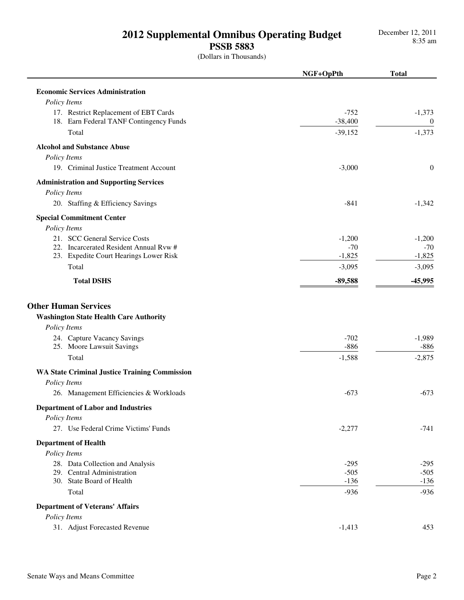## **PSSB 5883**

|                                                                                              | NGF+OpPth        | <b>Total</b>     |
|----------------------------------------------------------------------------------------------|------------------|------------------|
| <b>Economic Services Administration</b>                                                      |                  |                  |
| Policy Items                                                                                 |                  |                  |
| 17. Restrict Replacement of EBT Cards                                                        | $-752$           | $-1,373$         |
| 18. Earn Federal TANF Contingency Funds                                                      | $-38,400$        | $\mathbf{0}$     |
| Total                                                                                        | $-39,152$        | $-1,373$         |
| <b>Alcohol and Substance Abuse</b>                                                           |                  |                  |
| Policy Items                                                                                 |                  |                  |
| 19. Criminal Justice Treatment Account                                                       | $-3,000$         | $\theta$         |
| <b>Administration and Supporting Services</b>                                                |                  |                  |
| Policy Items                                                                                 |                  |                  |
| 20. Staffing & Efficiency Savings                                                            | $-841$           | $-1,342$         |
| <b>Special Commitment Center</b>                                                             |                  |                  |
| Policy Items                                                                                 |                  |                  |
| 21. SCC General Service Costs                                                                | $-1,200$         | $-1,200$         |
| 22. Incarcerated Resident Annual Rvw #                                                       | $-70$            | $-70$            |
| 23. Expedite Court Hearings Lower Risk                                                       | $-1,825$         | $-1,825$         |
| Total                                                                                        | $-3,095$         | $-3,095$         |
| <b>Total DSHS</b>                                                                            | $-89,588$        | $-45,995$        |
| <b>Other Human Services</b><br><b>Washington State Health Care Authority</b><br>Policy Items |                  |                  |
| 24. Capture Vacancy Savings                                                                  | $-702$           | $-1,989$         |
| 25. Moore Lawsuit Savings                                                                    | $-886$           | $-886$           |
| Total                                                                                        | $-1,588$         | $-2,875$         |
| <b>WA State Criminal Justice Training Commission</b>                                         |                  |                  |
| Policy Items                                                                                 |                  |                  |
| 26. Management Efficiencies & Workloads                                                      | $-673$           | $-673$           |
| <b>Department of Labor and Industries</b>                                                    |                  |                  |
| Policy Items                                                                                 |                  |                  |
| 27. Use Federal Crime Victims' Funds                                                         | $-2,277$         | $-741$           |
| <b>Department of Health</b>                                                                  |                  |                  |
| Policy Items                                                                                 |                  |                  |
| 28. Data Collection and Analysis                                                             | $-295$           | $-295$           |
| 29. Central Administration                                                                   | $-505$           | $-505$           |
| 30. State Board of Health<br>Total                                                           | $-136$<br>$-936$ | $-136$<br>$-936$ |
|                                                                                              |                  |                  |
| <b>Department of Veterans' Affairs</b><br>Policy Items                                       |                  |                  |
| 31. Adjust Forecasted Revenue                                                                | $-1,413$         | 453              |
|                                                                                              |                  |                  |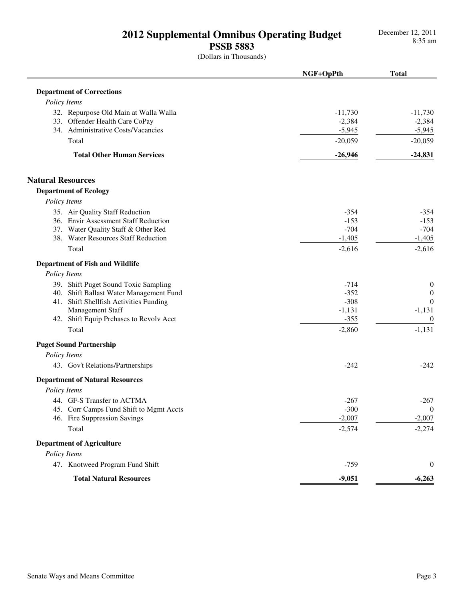## **PSSB 5883**

|                                         | NGF+OpPth | <b>Total</b>     |
|-----------------------------------------|-----------|------------------|
| <b>Department of Corrections</b>        |           |                  |
| Policy Items                            |           |                  |
| 32. Repurpose Old Main at Walla Walla   | $-11,730$ | $-11,730$        |
| 33. Offender Health Care CoPay          | $-2,384$  | $-2,384$         |
| 34. Administrative Costs/Vacancies      | $-5,945$  | $-5,945$         |
| Total                                   | $-20,059$ | $-20,059$        |
| <b>Total Other Human Services</b>       | $-26,946$ | $-24,831$        |
| <b>Natural Resources</b>                |           |                  |
| <b>Department of Ecology</b>            |           |                  |
| Policy Items                            |           |                  |
| 35. Air Quality Staff Reduction         | $-354$    | $-354$           |
| 36. Envir Assessment Staff Reduction    | $-153$    | $-153$           |
| 37. Water Quality Staff & Other Red     | $-704$    | $-704$           |
| 38. Water Resources Staff Reduction     | $-1,405$  | $-1,405$         |
| Total                                   | $-2,616$  | $-2,616$         |
| <b>Department of Fish and Wildlife</b>  |           |                  |
| Policy Items                            |           |                  |
| 39. Shift Puget Sound Toxic Sampling    | $-714$    | $\boldsymbol{0}$ |
| 40. Shift Ballast Water Management Fund | $-352$    | $\boldsymbol{0}$ |
| 41. Shift Shellfish Activities Funding  | $-308$    | $\theta$         |
| Management Staff                        | $-1,131$  | $-1,131$         |
| 42. Shift Equip Prchases to Revolv Acct | $-355$    | $\overline{0}$   |
| Total                                   | $-2,860$  | $-1,131$         |
| <b>Puget Sound Partnership</b>          |           |                  |
| Policy Items                            |           |                  |
| 43. Gov't Relations/Partnerships        | $-242$    | $-242$           |
| <b>Department of Natural Resources</b>  |           |                  |
| Policy Items                            |           |                  |
| 44. GF-S Transfer to ACTMA              | $-267$    | $-267$           |
| 45. Corr Camps Fund Shift to Mgmt Accts | $-300$    | $\mathbf{0}$     |
| 46. Fire Suppression Savings            | $-2,007$  | $-2,007$         |
| Total                                   | $-2,574$  | $-2,274$         |
| <b>Department of Agriculture</b>        |           |                  |
| Policy Items                            |           |                  |
| 47. Knotweed Program Fund Shift         | $-759$    | $\boldsymbol{0}$ |
| <b>Total Natural Resources</b>          | $-9,051$  | $-6,263$         |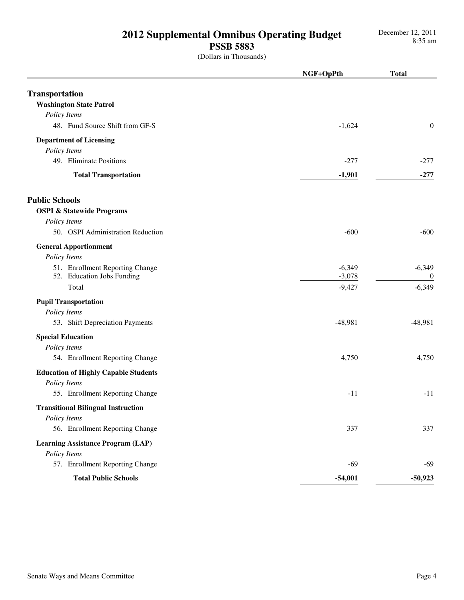**PSSB 5883**

|                                                               | NGF+OpPth            | <b>Total</b>                 |
|---------------------------------------------------------------|----------------------|------------------------------|
| <b>Transportation</b><br><b>Washington State Patrol</b>       |                      |                              |
| Policy Items                                                  |                      |                              |
| 48. Fund Source Shift from GF-S                               | $-1,624$             | $\mathbf{0}$                 |
| <b>Department of Licensing</b><br>Policy Items                |                      |                              |
| 49. Eliminate Positions                                       | $-277$               | $-277$                       |
| <b>Total Transportation</b>                                   | $-1,901$             | $-277$                       |
| <b>Public Schools</b>                                         |                      |                              |
| <b>OSPI &amp; Statewide Programs</b>                          |                      |                              |
| Policy Items<br>50. OSPI Administration Reduction             | $-600$               | $-600$                       |
| <b>General Apportionment</b><br>Policy Items                  |                      |                              |
| 51. Enrollment Reporting Change<br>52. Education Jobs Funding | $-6,349$<br>$-3,078$ | $-6,349$<br>$\boldsymbol{0}$ |
| Total                                                         | $-9,427$             | $-6,349$                     |
| <b>Pupil Transportation</b>                                   |                      |                              |
| Policy Items                                                  |                      |                              |
| 53. Shift Depreciation Payments                               | $-48,981$            | $-48,981$                    |
| <b>Special Education</b>                                      |                      |                              |
| Policy Items                                                  |                      |                              |
| 54. Enrollment Reporting Change                               | 4,750                | 4,750                        |
| <b>Education of Highly Capable Students</b><br>Policy Items   |                      |                              |
| 55. Enrollment Reporting Change                               | $-11$                | $-11$                        |
| <b>Transitional Bilingual Instruction</b>                     |                      |                              |
| Policy Items                                                  |                      |                              |
| 56. Enrollment Reporting Change                               | 337                  | 337                          |
| <b>Learning Assistance Program (LAP)</b><br>Policy Items      |                      |                              |
| 57. Enrollment Reporting Change                               | $-69$                | $-69$                        |
| <b>Total Public Schools</b>                                   | $-54,001$            | $-50,923$                    |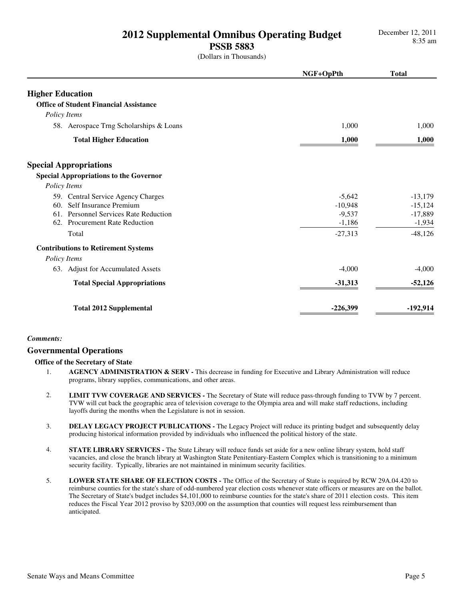## **PSSB 5883**

(Dollars in Thousands)

|                                               | NGF+OpPth  | <b>Total</b> |
|-----------------------------------------------|------------|--------------|
| <b>Higher Education</b>                       |            |              |
| <b>Office of Student Financial Assistance</b> |            |              |
| Policy Items                                  |            |              |
| 58. Aerospace Trng Scholarships & Loans       | 1,000      | 1,000        |
| <b>Total Higher Education</b>                 | 1,000      | 1,000        |
| <b>Special Appropriations</b>                 |            |              |
| <b>Special Appropriations to the Governor</b> |            |              |
| Policy Items                                  |            |              |
| 59. Central Service Agency Charges            | $-5,642$   | $-13,179$    |
| Self Insurance Premium<br>60.                 | $-10,948$  | $-15,124$    |
| 61. Personnel Services Rate Reduction         | $-9,537$   | $-17,889$    |
| 62. Procurement Rate Reduction                | $-1,186$   | $-1,934$     |
| Total                                         | $-27,313$  | $-48,126$    |
| <b>Contributions to Retirement Systems</b>    |            |              |
| Policy Items                                  |            |              |
| 63. Adjust for Accumulated Assets             | $-4,000$   | $-4.000$     |
| <b>Total Special Appropriations</b>           | $-31,313$  | $-52,126$    |
| <b>Total 2012 Supplemental</b>                | $-226,399$ | $-192,914$   |

## *Comments:*

## **Governmental Operations**

## **Office of the Secretary of State**

- 1. **AGENCY ADMINISTRATION & SERV** This decrease in funding for Executive and Library Administration will reduce programs, library supplies, communications, and other areas.
- 2. **LIMIT TVW COVERAGE AND SERVICES** The Secretary of State will reduce pass-through funding to TVW by 7 percent. TVW will cut back the geographic area of television coverage to the Olympia area and will make staff reductions, including layoffs during the months when the Legislature is not in session.
- 3. **DELAY LEGACY PROJECT PUBLICATIONS** The Legacy Project will reduce its printing budget and subsequently delay producing historical information provided by individuals who influenced the political history of the state.
- 4. **STATE LIBRARY SERVICES** The State Library will reduce funds set aside for a new online library system, hold staff vacancies, and close the branch library at Washington State Penitentiary-Eastern Complex which is transitioning to a minimum security facility. Typically, libraries are not maintained in minimum security facilities.
- 5. **LOWER STATE SHARE OF ELECTION COSTS** The Office of the Secretary of State is required by RCW 29A.04.420 to reimburse counties for the state's share of odd-numbered year election costs whenever state officers or measures are on the ballot. The Secretary of State's budget includes \$4,101,000 to reimburse counties for the state's share of 2011 election costs. This item reduces the Fiscal Year 2012 proviso by \$203,000 on the assumption that counties will request less reimbursement than anticipated.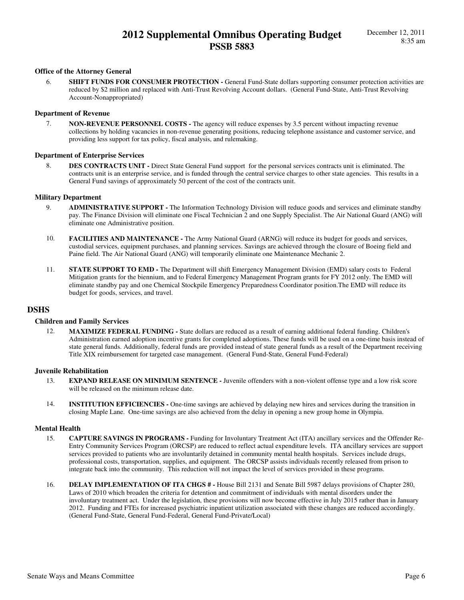## **Office of the Attorney General**

6. **SHIFT FUNDS FOR CONSUMER PROTECTION -** General Fund-State dollars supporting consumer protection activities are reduced by \$2 million and replaced with Anti-Trust Revolving Account dollars. (General Fund-State, Anti-Trust Revolving Account-Nonappropriated)

### **Department of Revenue**

7. **NON-REVENUE PERSONNEL COSTS -** The agency will reduce expenses by 3.5 percent without impacting revenue collections by holding vacancies in non-revenue generating positions, reducing telephone assistance and customer service, and providing less support for tax policy, fiscal analysis, and rulemaking.

### **Department of Enterprise Services**

8. **DES CONTRACTS UNIT -** Direct State General Fund support for the personal services contracts unit is eliminated. The contracts unit is an enterprise service, and is funded through the central service charges to other state agencies. This results in a General Fund savings of approximately 50 percent of the cost of the contracts unit.

### **Military Department**

- 9. **ADMINISTRATIVE SUPPORT** The Information Technology Division will reduce goods and services and eliminate standby pay. The Finance Division will eliminate one Fiscal Technician 2 and one Supply Specialist. The Air National Guard (ANG) will eliminate one Administrative position.
- 10. **FACILITIES AND MAINTENANCE** The Army National Guard (ARNG) will reduce its budget for goods and services, custodial services, equipment purchases, and planning services. Savings are achieved through the closure of Boeing field and Paine field. The Air National Guard (ANG) will temporarily eliminate one Maintenance Mechanic 2.
- 11. **STATE SUPPORT TO EMD** The Department will shift Emergency Management Division (EMD) salary costs to Federal Mitigation grants for the biennium, and to Federal Emergency Management Program grants for FY 2012 only. The EMD will eliminate standby pay and one Chemical Stockpile Emergency Preparedness Coordinator position.The EMD will reduce its budget for goods, services, and travel.

## **DSHS**

### **Children and Family Services**

12. **MAXIMIZE FEDERAL FUNDING -** State dollars are reduced as a result of earning additional federal funding. Children's Administration earned adoption incentive grants for completed adoptions. These funds will be used on a one-time basis instead of state general funds. Additionally, federal funds are provided instead of state general funds as a result of the Department receiving Title XIX reimbursement for targeted case management. (General Fund-State, General Fund-Federal)

## **Juvenile Rehabilitation**

- 13. **EXPAND RELEASE ON MINIMUM SENTENCE** Juvenile offenders with a non-violent offense type and a low risk score will be released on the minimum release date.
- 14. **INSTITUTION EFFICIENCIES** One-time savings are achieved by delaying new hires and services during the transition in closing Maple Lane. One-time savings are also achieved from the delay in opening a new group home in Olympia.

### **Mental Health**

- 15. **CAPTURE SAVINGS IN PROGRAMS** Funding for Involuntary Treatment Act (ITA) ancillary services and the Offender Re-Entry Community Services Program (ORCSP) are reduced to reflect actual expenditure levels. ITA ancillary services are support services provided to patients who are involuntarily detained in community mental health hospitals. Services include drugs, professional costs, transportation, supplies, and equipment. The ORCSP assists individuals recently released from prison to integrate back into the community. This reduction will not impact the level of services provided in these programs.
- 16. **DELAY IMPLEMENTATION OF ITA CHGS #** House Bill 2131 and Senate Bill 5987 delays provisions of Chapter 280, Laws of 2010 which broaden the criteria for detention and commitment of individuals with mental disorders under the involuntary treatment act. Under the legislation, these provisions will now become effective in July 2015 rather than in January 2012. Funding and FTEs for increased psychiatric inpatient utilization associated with these changes are reduced accordingly. (General Fund-State, General Fund-Federal, General Fund-Private/Local)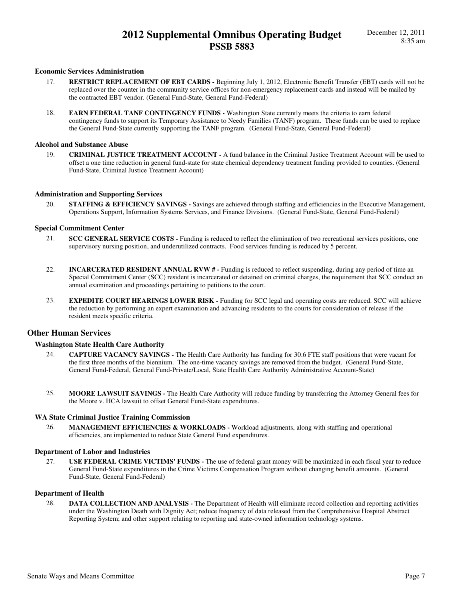### **Economic Services Administration**

- 17. **RESTRICT REPLACEMENT OF EBT CARDS** Beginning July 1, 2012, Electronic Benefit Transfer (EBT) cards will not be replaced over the counter in the community service offices for non-emergency replacement cards and instead will be mailed by the contracted EBT vendor. (General Fund-State, General Fund-Federal)
- 18. **EARN FEDERAL TANF CONTINGENCY FUNDS** Washington State currently meets the criteria to earn federal contingency funds to support its Temporary Assistance to Needy Families (TANF) program. These funds can be used to replace the General Fund-State currently supporting the TANF program. (General Fund-State, General Fund-Federal)

## **Alcohol and Substance Abuse**

19. **CRIMINAL JUSTICE TREATMENT ACCOUNT -** A fund balance in the Criminal Justice Treatment Account will be used to offset a one time reduction in general fund-state for state chemical dependency treatment funding provided to counties. (General Fund-State, Criminal Justice Treatment Account)

### **Administration and Supporting Services**

20. **STAFFING & EFFICIENCY SAVINGS -** Savings are achieved through staffing and efficiencies in the Executive Management, Operations Support, Information Systems Services, and Finance Divisions. (General Fund-State, General Fund-Federal)

### **Special Commitment Center**

- 21. **SCC GENERAL SERVICE COSTS** Funding is reduced to reflect the elimination of two recreational services positions, one supervisory nursing position, and underutilized contracts. Food services funding is reduced by 5 percent.
- 22. **INCARCERATED RESIDENT ANNUAL RVW #** Funding is reduced to reflect suspending, during any period of time an Special Commitment Center (SCC) resident is incarcerated or detained on criminal charges, the requirement that SCC conduct an annual examination and proceedings pertaining to petitions to the court.
- 23. **EXPEDITE COURT HEARINGS LOWER RISK -** Funding for SCC legal and operating costs are reduced. SCC will achieve the reduction by performing an expert examination and advancing residents to the courts for consideration of release if the resident meets specific criteria.

## **Other Human Services**

### **Washington State Health Care Authority**

- 24. **CAPTURE VACANCY SAVINGS** The Health Care Authority has funding for 30.6 FTE staff positions that were vacant for the first three months of the biennium. The one-time vacancy savings are removed from the budget. (General Fund-State, General Fund-Federal, General Fund-Private/Local, State Health Care Authority Administrative Account-State)
- 25. **MOORE LAWSUIT SAVINGS** The Health Care Authority will reduce funding by transferring the Attorney General fees for the Moore v. HCA lawsuit to offset General Fund-State expenditures.

### **WA State Criminal Justice Training Commission**

26. **MANAGEMENT EFFICIENCIES & WORKLOADS -** Workload adjustments, along with staffing and operational efficiencies, are implemented to reduce State General Fund expenditures.

#### **Department of Labor and Industries**

27. **USE FEDERAL CRIME VICTIMS' FUNDS -** The use of federal grant money will be maximized in each fiscal year to reduce General Fund-State expenditures in the Crime Victims Compensation Program without changing benefit amounts. (General Fund-State, General Fund-Federal)

### **Department of Health**

28. **DATA COLLECTION AND ANALYSIS -** The Department of Health will eliminate record collection and reporting activities under the Washington Death with Dignity Act; reduce frequency of data released from the Comprehensive Hospital Abstract Reporting System; and other support relating to reporting and state-owned information technology systems.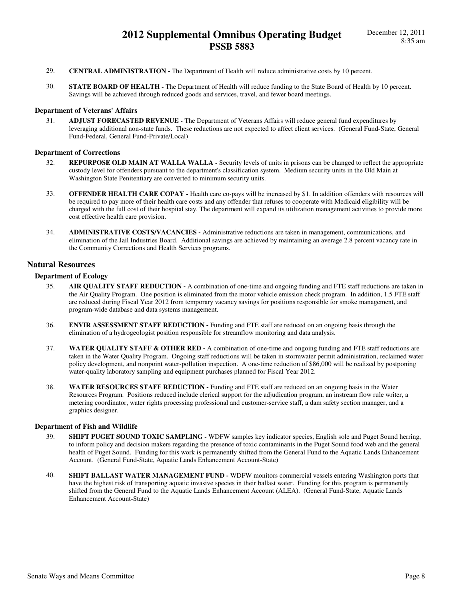- 29. **CENTRAL ADMINISTRATION** The Department of Health will reduce administrative costs by 10 percent.
- 30. **STATE BOARD OF HEALTH** The Department of Health will reduce funding to the State Board of Health by 10 percent. Savings will be achieved through reduced goods and services, travel, and fewer board meetings.

### **Department of Veterans' Affairs**

31. **ADJUST FORECASTED REVENUE -** The Department of Veterans Affairs will reduce general fund expenditures by leveraging additional non-state funds. These reductions are not expected to affect client services. (General Fund-State, General Fund-Federal, General Fund-Private/Local)

#### **Department of Corrections**

- 32. **REPURPOSE OLD MAIN AT WALLA WALLA** Security levels of units in prisons can be changed to reflect the appropriate custody level for offenders pursuant to the department's classification system. Medium security units in the Old Main at Washington State Penitentiary are converted to minimum security units.
- 33. **OFFENDER HEALTH CARE COPAY** Health care co-pays will be increased by \$1. In addition offenders with resources will be required to pay more of their health care costs and any offender that refuses to cooperate with Medicaid eligibility will be charged with the full cost of their hospital stay. The department will expand its utilization management activities to provide more cost effective health care provision.
- 34. **ADMINISTRATIVE COSTS/VACANCIES** Administrative reductions are taken in management, communications, and elimination of the Jail Industries Board. Additional savings are achieved by maintaining an average 2.8 percent vacancy rate in the Community Corrections and Health Services programs.

## **Natural Resources**

#### **Department of Ecology**

- 35. **AIR QUALITY STAFF REDUCTION** A combination of one-time and ongoing funding and FTE staff reductions are taken in the Air Quality Program. One position is eliminated from the motor vehicle emission check program. In addition, 1.5 FTE staff are reduced during Fiscal Year 2012 from temporary vacancy savings for positions responsible for smoke management, and program-wide database and data systems management.
- 36. **ENVIR ASSESSMENT STAFF REDUCTION** Funding and FTE staff are reduced on an ongoing basis through the elimination of a hydrogeologist position responsible for streamflow monitoring and data analysis.
- 37. **WATER QUALITY STAFF & OTHER RED** A combination of one-time and ongoing funding and FTE staff reductions are taken in the Water Quality Program. Ongoing staff reductions will be taken in stormwater permit administration, reclaimed water policy development, and nonpoint water-pollution inspection. A one-time reduction of \$86,000 will be realized by postponing water-quality laboratory sampling and equipment purchases planned for Fiscal Year 2012.
- 38. **WATER RESOURCES STAFF REDUCTION** Funding and FTE staff are reduced on an ongoing basis in the Water Resources Program. Positions reduced include clerical support for the adjudication program, an instream flow rule writer, a metering coordinator, water rights processing professional and customer-service staff, a dam safety section manager, and a graphics designer.

### **Department of Fish and Wildlife**

- 39. **SHIFT PUGET SOUND TOXIC SAMPLING** WDFW samples key indicator species, English sole and Puget Sound herring, to inform policy and decision makers regarding the presence of toxic contaminants in the Puget Sound food web and the general health of Puget Sound. Funding for this work is permanently shifted from the General Fund to the Aquatic Lands Enhancement Account. (General Fund-State, Aquatic Lands Enhancement Account-State)
- 40. **SHIFT BALLAST WATER MANAGEMENT FUND** WDFW monitors commercial vessels entering Washington ports that have the highest risk of transporting aquatic invasive species in their ballast water. Funding for this program is permanently shifted from the General Fund to the Aquatic Lands Enhancement Account (ALEA). (General Fund-State, Aquatic Lands Enhancement Account-State)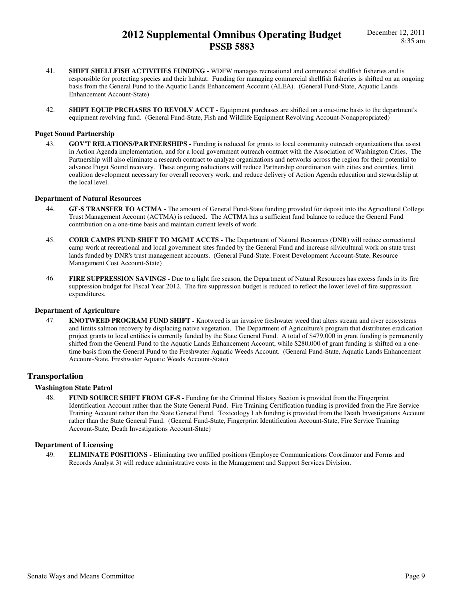- 41. **SHIFT SHELLFISH ACTIVITIES FUNDING** WDFW manages recreational and commercial shellfish fisheries and is responsible for protecting species and their habitat. Funding for managing commercial shellfish fisheries is shifted on an ongoing basis from the General Fund to the Aquatic Lands Enhancement Account (ALEA). (General Fund-State, Aquatic Lands Enhancement Account-State)
- 42. **SHIFT EQUIP PRCHASES TO REVOLV ACCT** Equipment purchases are shifted on a one-time basis to the department's equipment revolving fund. (General Fund-State, Fish and Wildlife Equipment Revolving Account-Nonappropriated)

### **Puget Sound Partnership**

43. **GOV'T RELATIONS/PARTNERSHIPS -** Funding is reduced for grants to local community outreach organizations that assist in Action Agenda implementation, and for a local government outreach contract with the Association of Washington Cities. The Partnership will also eliminate a research contract to analyze organizations and networks across the region for their potential to advance Puget Sound recovery. These ongoing reductions will reduce Partnership coordination with cities and counties, limit coalition development necessary for overall recovery work, and reduce delivery of Action Agenda education and stewardship at the local level.

#### **Department of Natural Resources**

- 44. **GF-S TRANSFER TO ACTMA** The amount of General Fund-State funding provided for deposit into the Agricultural College Trust Management Account (ACTMA) is reduced. The ACTMA has a sufficient fund balance to reduce the General Fund contribution on a one-time basis and maintain current levels of work.
- 45. **CORR CAMPS FUND SHIFT TO MGMT ACCTS** The Department of Natural Resources (DNR) will reduce correctional camp work at recreational and local government sites funded by the General Fund and increase silvicultural work on state trust lands funded by DNR's trust management accounts. (General Fund-State, Forest Development Account-State, Resource Management Cost Account-State)
- 46. **FIRE SUPPRESSION SAVINGS** Due to a light fire season, the Department of Natural Resources has excess funds in its fire suppression budget for Fiscal Year 2012. The fire suppression budget is reduced to reflect the lower level of fire suppression expenditures.

## **Department of Agriculture**

47. **KNOTWEED PROGRAM FUND SHIFT -** Knotweed is an invasive freshwater weed that alters stream and river ecosystems and limits salmon recovery by displacing native vegetation. The Department of Agriculture's program that distributes eradication project grants to local entities is currently funded by the State General Fund. A total of \$479,000 in grant funding is permanently shifted from the General Fund to the Aquatic Lands Enhancement Account, while \$280,000 of grant funding is shifted on a onetime basis from the General Fund to the Freshwater Aquatic Weeds Account. (General Fund-State, Aquatic Lands Enhancement Account-State, Freshwater Aquatic Weeds Account-State)

## **Transportation**

## **Washington State Patrol**

48. **FUND SOURCE SHIFT FROM GF-S -** Funding for the Criminal History Section is provided from the Fingerprint Identification Account rather than the State General Fund. Fire Training Certification funding is provided from the Fire Service Training Account rather than the State General Fund. Toxicology Lab funding is provided from the Death Investigations Account rather than the State General Fund. (General Fund-State, Fingerprint Identification Account-State, Fire Service Training Account-State, Death Investigations Account-State)

### **Department of Licensing**

49. **ELIMINATE POSITIONS -** Eliminating two unfilled positions (Employee Communications Coordinator and Forms and Records Analyst 3) will reduce administrative costs in the Management and Support Services Division.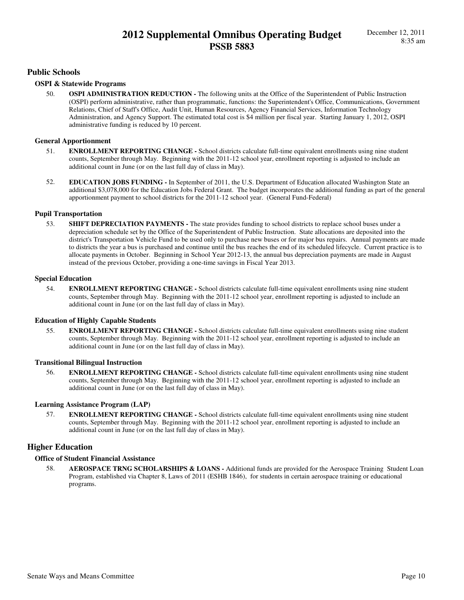## **Public Schools**

## **OSPI & Statewide Programs**

50. **OSPI ADMINISTRATION REDUCTION -** The following units at the Office of the Superintendent of Public Instruction (OSPI) perform administrative, rather than programmatic, functions: the Superintendent's Office, Communications, Government Relations, Chief of Staff's Office, Audit Unit, Human Resources, Agency Financial Services, Information Technology Administration, and Agency Support. The estimated total cost is \$4 million per fiscal year. Starting January 1, 2012, OSPI administrative funding is reduced by 10 percent.

## **General Apportionment**

- 51. **ENROLLMENT REPORTING CHANGE** School districts calculate full-time equivalent enrollments using nine student counts, September through May. Beginning with the 2011-12 school year, enrollment reporting is adjusted to include an additional count in June (or on the last full day of class in May).
- 52. **EDUCATION JOBS FUNDING** In September of 2011, the U.S. Department of Education allocated Washington State an additional \$3,078,000 for the Education Jobs Federal Grant. The budget incorporates the additional funding as part of the general apportionment payment to school districts for the 2011-12 school year. (General Fund-Federal)

## **Pupil Transportation**

53. **SHIFT DEPRECIATION PAYMENTS -** The state provides funding to school districts to replace school buses under a depreciation schedule set by the Office of the Superintendent of Public Instruction. State allocations are deposited into the district's Transportation Vehicle Fund to be used only to purchase new buses or for major bus repairs. Annual payments are made to districts the year a bus is purchased and continue until the bus reaches the end of its scheduled lifecycle. Current practice is to allocate payments in October. Beginning in School Year 2012-13, the annual bus depreciation payments are made in August instead of the previous October, providing a one-time savings in Fiscal Year 2013.

## **Special Education**

54. **ENROLLMENT REPORTING CHANGE -** School districts calculate full-time equivalent enrollments using nine student counts, September through May. Beginning with the 2011-12 school year, enrollment reporting is adjusted to include an additional count in June (or on the last full day of class in May).

## **Education of Highly Capable Students**

55. **ENROLLMENT REPORTING CHANGE -** School districts calculate full-time equivalent enrollments using nine student counts, September through May. Beginning with the 2011-12 school year, enrollment reporting is adjusted to include an additional count in June (or on the last full day of class in May).

## **Transitional Bilingual Instruction**

56. **ENROLLMENT REPORTING CHANGE -** School districts calculate full-time equivalent enrollments using nine student counts, September through May. Beginning with the 2011-12 school year, enrollment reporting is adjusted to include an additional count in June (or on the last full day of class in May).

## **Learning Assistance Program (LAP)**

57. **ENROLLMENT REPORTING CHANGE -** School districts calculate full-time equivalent enrollments using nine student counts, September through May. Beginning with the 2011-12 school year, enrollment reporting is adjusted to include an additional count in June (or on the last full day of class in May).

## **Higher Education**

## **Office of Student Financial Assistance**

58. **AEROSPACE TRNG SCHOLARSHIPS & LOANS -** Additional funds are provided for the Aerospace Training Student Loan Program, established via Chapter 8, Laws of 2011 (ESHB 1846), for students in certain aerospace training or educational programs.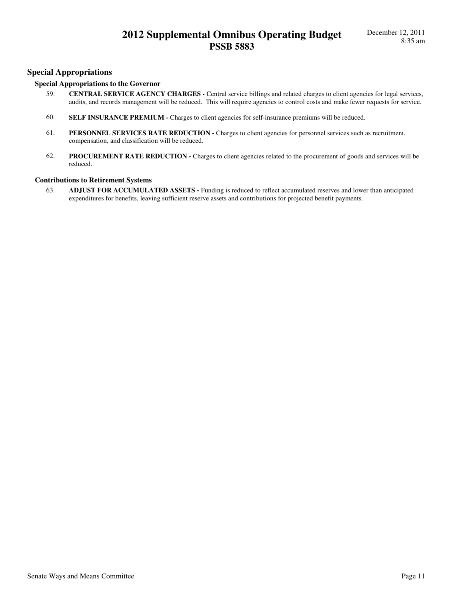## **Special Appropriations**

## **Special Appropriations to the Governor**

- 59. **CENTRAL SERVICE AGENCY CHARGES** Central service billings and related charges to client agencies for legal services, audits, and records management will be reduced. This will require agencies to control costs and make fewer requests for service.
- 60. **SELF INSURANCE PREMIUM** Charges to client agencies for self-insurance premiums will be reduced.
- 61. **PERSONNEL SERVICES RATE REDUCTION** Charges to client agencies for personnel services such as recruitment, compensation, and classification will be reduced.
- 62. **PROCUREMENT RATE REDUCTION** Charges to client agencies related to the procurement of goods and services will be reduced.

### **Contributions to Retirement Systems**

63. **ADJUST FOR ACCUMULATED ASSETS -** Funding is reduced to reflect accumulated reserves and lower than anticipated expenditures for benefits, leaving sufficient reserve assets and contributions for projected benefit payments.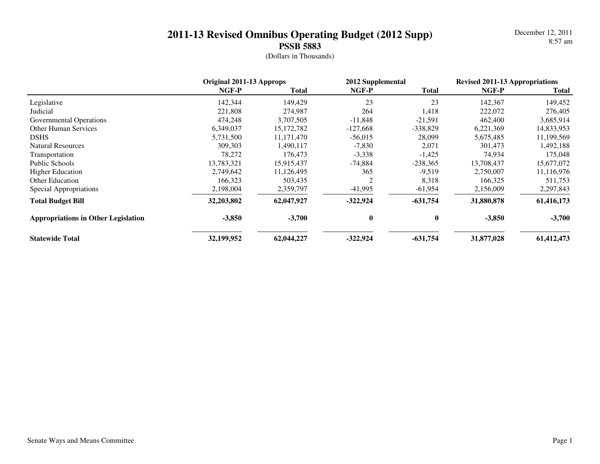December 12, 20118:57 am

|                                            | Original 2011-13 Approps |              | 2012 Supplemental |            | <b>Revised 2011-13 Appropriations</b> |              |
|--------------------------------------------|--------------------------|--------------|-------------------|------------|---------------------------------------|--------------|
|                                            | NGF-P                    | Total        | NGF-P             | Total      | NGF-P                                 | <b>Total</b> |
| Legislative                                | 142,344                  | 149,429      | 23                | 23         | 142,367                               | 149,452      |
| Judicial                                   | 221,808                  | 274,987      | 264               | 1,418      | 222,072                               | 276,405      |
| <b>Governmental Operations</b>             | 474,248                  | 3,707,505    | $-11,848$         | $-21,591$  | 462,400                               | 3,685,914    |
| <b>Other Human Services</b>                | 6,349,037                | 15, 172, 782 | $-127,668$        | $-338,829$ | 6,221,369                             | 14,833,953   |
| <b>DSHS</b>                                | 5,731,500                | 11,171,470   | $-56,015$         | 28,099     | 5,675,485                             | 11,199,569   |
| <b>Natural Resources</b>                   | 309,303                  | 1,490,117    | $-7,830$          | 2,071      | 301,473                               | 1,492,188    |
| Transportation                             | 78,272                   | 176,473      | $-3,338$          | $-1,425$   | 74,934                                | 175,048      |
| Public Schools                             | 13,783,321               | 15,915,437   | $-74,884$         | $-238,365$ | 13,708,437                            | 15,677,072   |
| <b>Higher Education</b>                    | 2,749,642                | 11,126,495   | 365               | $-9,519$   | 2,750,007                             | 11,116,976   |
| <b>Other Education</b>                     | 166,323                  | 503,435      |                   | 8,318      | 166,325                               | 511,753      |
| Special Appropriations                     | 2,198,004                | 2,359,797    | $-41,995$         | $-61,954$  | 2,156,009                             | 2,297,843    |
| <b>Total Budget Bill</b>                   | 32,203,802               | 62,047,927   | $-322,924$        | $-631,754$ | 31,880,878                            | 61,416,173   |
| <b>Appropriations in Other Legislation</b> | $-3,850$                 | $-3,700$     | 0                 | 0          | $-3,850$                              | $-3,700$     |
| <b>Statewide Total</b>                     | 32,199,952               | 62,044,227   | $-322,924$        | $-631,754$ | 31,877,028                            | 61,412,473   |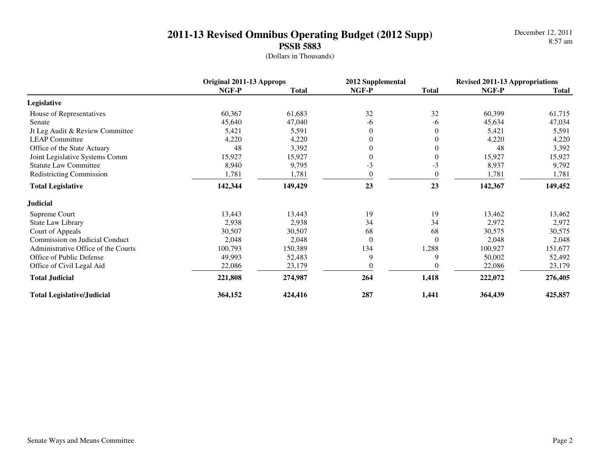December 12, 20118:57 am

|                                       | Original 2011-13 Approps |              | 2012 Supplemental |                  | <b>Revised 2011-13 Appropriations</b> |              |
|---------------------------------------|--------------------------|--------------|-------------------|------------------|---------------------------------------|--------------|
|                                       | NGF-P                    | <b>Total</b> | NGF-P             | <b>Total</b>     | NGF-P                                 | <b>Total</b> |
| Legislative                           |                          |              |                   |                  |                                       |              |
| House of Representatives              | 60,367                   | 61,683       | 32                | 32               | 60,399                                | 61,715       |
| Senate                                | 45,640                   | 47,040       | -6                | -6               | 45,634                                | 47,034       |
| Jt Leg Audit & Review Committee       | 5,421                    | 5,591        |                   | $\theta$         | 5,421                                 | 5,591        |
| <b>LEAP Committee</b>                 | 4,220                    | 4,220        |                   | $\boldsymbol{0}$ | 4,220                                 | 4,220        |
| Office of the State Actuary           | 48                       | 3,392        |                   | $\theta$         | 48                                    | 3,392        |
| Joint Legislative Systems Comm        | 15,927                   | 15,927       |                   | $\theta$         | 15,927                                | 15,927       |
| <b>Statute Law Committee</b>          | 8,940                    | 9,795        | $-3$              | $-3$             | 8,937                                 | 9,792        |
| <b>Redistricting Commission</b>       | 1,781                    | 1,781        |                   | $\theta$         | 1,781                                 | 1,781        |
| <b>Total Legislative</b>              | 142,344                  | 149,429      | 23                | 23               | 142,367                               | 149,452      |
| <b>Judicial</b>                       |                          |              |                   |                  |                                       |              |
| Supreme Court                         | 13,443                   | 13,443       | 19                | 19               | 13,462                                | 13,462       |
| <b>State Law Library</b>              | 2,938                    | 2,938        | 34                | 34               | 2,972                                 | 2,972        |
| Court of Appeals                      | 30,507                   | 30,507       | 68                | 68               | 30,575                                | 30,575       |
| <b>Commission on Judicial Conduct</b> | 2,048                    | 2,048        | $\Omega$          | $\Omega$         | 2,048                                 | 2,048        |
| Administrative Office of the Courts   | 100,793                  | 150,389      | 134               | 1,288            | 100,927                               | 151,677      |
| Office of Public Defense              | 49,993                   | 52,483       | 9                 | 9                | 50,002                                | 52,492       |
| Office of Civil Legal Aid             | 22,086                   | 23,179       |                   |                  | 22,086                                | 23,179       |
| <b>Total Judicial</b>                 | 221,808                  | 274,987      | 264               | 1,418            | 222,072                               | 276,405      |
| <b>Total Legislative/Judicial</b>     | 364,152                  | 424,416      | 287               | 1,441            | 364,439                               | 425,857      |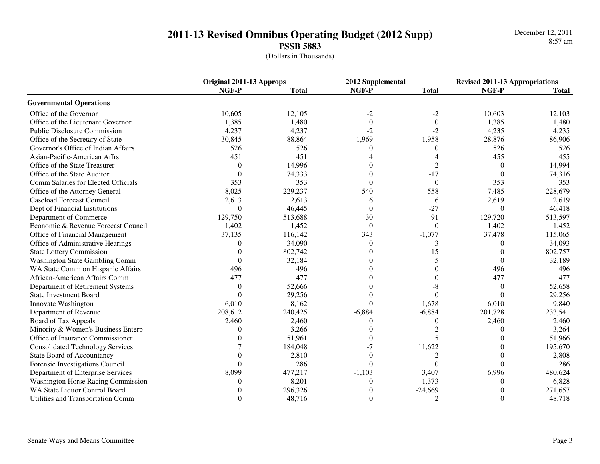December 12, 20118:57 am

|                                           | Original 2011-13 Approps |              | 2012 Supplemental |                  | <b>Revised 2011-13 Appropriations</b> |              |
|-------------------------------------------|--------------------------|--------------|-------------------|------------------|---------------------------------------|--------------|
|                                           | NGF-P                    | <b>Total</b> | NGF-P             | <b>Total</b>     | NGF-P                                 | <b>Total</b> |
| <b>Governmental Operations</b>            |                          |              |                   |                  |                                       |              |
| Office of the Governor                    | 10,605                   | 12,105       | $-2$              | $-2$             | 10,603                                | 12,103       |
| Office of the Lieutenant Governor         | 1,385                    | 1,480        | $\Omega$          | $\theta$         | 1,385                                 | 1,480        |
| <b>Public Disclosure Commission</b>       | 4,237                    | 4,237        | $-2$              | $-2$             | 4,235                                 | 4,235        |
| Office of the Secretary of State          | 30,845                   | 88,864       | $-1,969$          | $-1,958$         | 28,876                                | 86,906       |
| Governor's Office of Indian Affairs       | 526                      | 526          | 0                 | $\Omega$         | 526                                   | 526          |
| Asian-Pacific-American Affrs              | 451                      | 451          |                   | 4                | 455                                   | 455          |
| Office of the State Treasurer             | $\Omega$                 | 14,996       | 0                 | $-2$             | $\Omega$                              | 14,994       |
| Office of the State Auditor               | $\Omega$                 | 74,333       | 0                 | $-17$            | $\Omega$                              | 74,316       |
| Comm Salaries for Elected Officials       | 353                      | 353          | $\Omega$          | $\Omega$         | 353                                   | 353          |
| Office of the Attorney General            | 8,025                    | 229,237      | $-540$            | $-558$           | 7,485                                 | 228,679      |
| <b>Caseload Forecast Council</b>          | 2,613                    | 2,613        | 6                 | 6                | 2,619                                 | 2,619        |
| Dept of Financial Institutions            | $\theta$                 | 46,445       | $\theta$          | $-27$            | $\Omega$                              | 46,418       |
| Department of Commerce                    | 129,750                  | 513,688      | $-30$             | $-91$            | 129,720                               | 513,597      |
| Economic & Revenue Forecast Council       | 1,402                    | 1,452        | $\Omega$          | $\Omega$         | 1,402                                 | 1,452        |
| Office of Financial Management            | 37,135                   | 116,142      | 343               | $-1,077$         | 37,478                                | 115,065      |
| Office of Administrative Hearings         | 0                        | 34,090       | 0                 | 3                | 0                                     | 34,093       |
| <b>State Lottery Commission</b>           | $\Omega$                 | 802,742      | $\Omega$          | 15               | $\Omega$                              | 802,757      |
| Washington State Gambling Comm            | 0                        | 32,184       | 0                 | 5                | $\Omega$                              | 32,189       |
| WA State Comm on Hispanic Affairs         | 496                      | 496          | Ω                 | 0                | 496                                   | 496          |
| African-American Affairs Comm             | 477                      | 477          |                   | 0                | 477                                   | 477          |
| Department of Retirement Systems          | $\Omega$                 | 52,666       |                   | -8               | $\Omega$                              | 52,658       |
| <b>State Investment Board</b>             | 0                        | 29,256       | Ω                 | $\theta$         | $\Omega$                              | 29,256       |
| Innovate Washington                       | 6,010                    | 8,162        | $\Omega$          | 1,678            | 6,010                                 | 9,840        |
| Department of Revenue                     | 208,612                  | 240,425      | $-6,884$          | $-6,884$         | 201,728                               | 233,541      |
| Board of Tax Appeals                      | 2,460                    | 2,460        | $\Omega$          | $\boldsymbol{0}$ | 2,460                                 | 2,460        |
| Minority & Women's Business Enterp        | 0                        | 3,266        | 0                 | $-2$             | 0                                     | 3,264        |
| Office of Insurance Commissioner          | $\Omega$                 | 51,961       | $\theta$          | 5                | 0                                     | 51,966       |
| <b>Consolidated Technology Services</b>   |                          | 184,048      | $-7$              | 11,622           | 0                                     | 195,670      |
| <b>State Board of Accountancy</b>         |                          | 2,810        | $\theta$          | $-2$             | 0                                     | 2,808        |
| Forensic Investigations Council           | 0                        | 286          | $\Omega$          | $\theta$         | 0                                     | 286          |
| Department of Enterprise Services         | 8,099                    | 477,217      | $-1,103$          | 3,407            | 6,996                                 | 480,624      |
| <b>Washington Horse Racing Commission</b> | 0                        | 8,201        | $\theta$          | $-1,373$         | $\Omega$                              | 6,828        |
| WA State Liquor Control Board             |                          | 296,326      | 0                 | $-24,669$        | 0                                     | 271,657      |
| Utilities and Transportation Comm         | $\Omega$                 | 48,716       | $\theta$          | $\overline{c}$   | $\Omega$                              | 48,718       |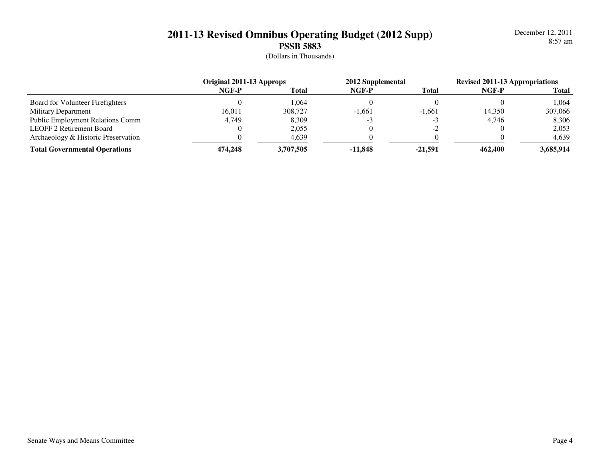December 12, 20118:57 am

|                                         | Original 2011-13 Approps |              | 2012 Supplemental |              | <b>Revised 2011-13 Appropriations</b> |              |
|-----------------------------------------|--------------------------|--------------|-------------------|--------------|---------------------------------------|--------------|
|                                         | NGF-P                    | <b>Total</b> | NGF-P             | <b>Total</b> | NGF-P                                 | <b>Total</b> |
| Board for Volunteer Firefighters        |                          | .064         |                   |              |                                       | .064         |
| <b>Military Department</b>              | 16.011                   | 308,727      | $-1.661$          | $-1.661$     | 14.350                                | 307,066      |
| <b>Public Employment Relations Comm</b> | 4,749                    | 8,309        |                   |              | 4,746                                 | 8,306        |
| <b>LEOFF 2 Retirement Board</b>         |                          | 2,055        |                   | $-2$         |                                       | 2,053        |
| Archaeology & Historic Preservation     |                          | 4,639        |                   |              |                                       | 4,639        |
| <b>Total Governmental Operations</b>    | 474,248                  | 3,707,505    | $-11.848$         | -21.591      | 462,400                               | 3,685,914    |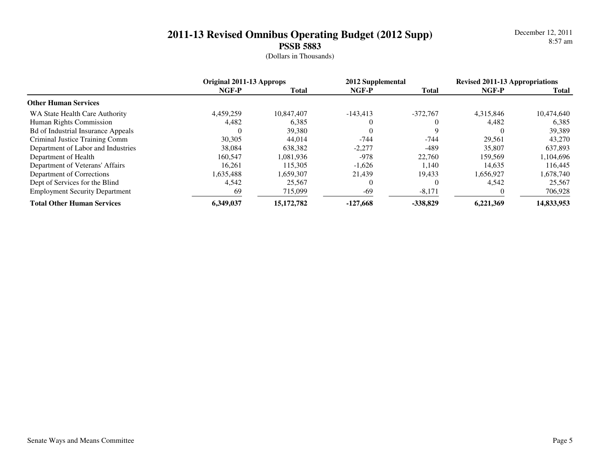December 12, 20118:57 am

|                                           | Original 2011-13 Approps |              | 2012 Supplemental |              | <b>Revised 2011-13 Appropriations</b> |            |
|-------------------------------------------|--------------------------|--------------|-------------------|--------------|---------------------------------------|------------|
|                                           | NGF-P                    | <b>Total</b> | NGF-P             | <b>Total</b> | NGF-P                                 | Total      |
| <b>Other Human Services</b>               |                          |              |                   |              |                                       |            |
| WA State Health Care Authority            | 4.459.259                | 10.847.407   | $-143.413$        | $-372.767$   | 4.315.846                             | 10,474,640 |
| Human Rights Commission                   | 4,482                    | 6,385        |                   |              | 4.482                                 | 6,385      |
| <b>Bd of Industrial Insurance Appeals</b> |                          | 39,380       |                   | Q            |                                       | 39,389     |
| Criminal Justice Training Comm            | 30,305                   | 44,014       | $-744$            | $-744$       | 29,561                                | 43,270     |
| Department of Labor and Industries        | 38,084                   | 638.382      | $-2,277$          | -489         | 35,807                                | 637.893    |
| Department of Health                      | 160,547                  | 1.081.936    | -978              | 22,760       | 159.569                               | 1,104,696  |
| Department of Veterans' Affairs           | 16.261                   | 115.305      | $-1,626$          | 1.140        | 14.635                                | 116.445    |
| Department of Corrections                 | 1,635,488                | 1,659,307    | 21,439            | 19,433       | 1,656,927                             | 1,678,740  |
| Dept of Services for the Blind            | 4.542                    | 25,567       |                   |              | 4.542                                 | 25.567     |
| <b>Employment Security Department</b>     | 69                       | 715,099      | $-69$             | $-8,171$     |                                       | 706,928    |
| <b>Total Other Human Services</b>         | 6,349,037                | 15,172,782   | $-127.668$        | $-338.829$   | 6,221,369                             | 14,833,953 |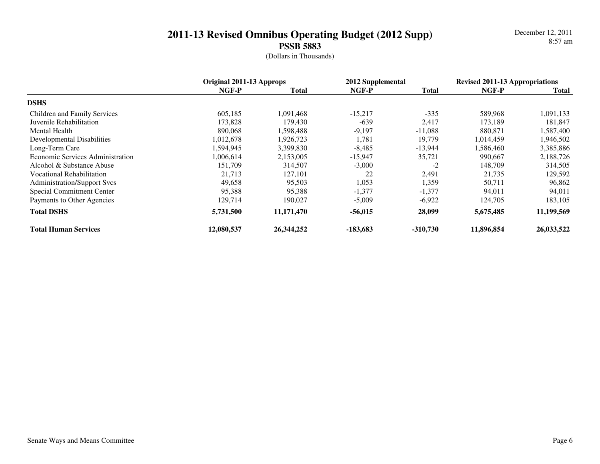December 12, 20118:57 am

|                                     | Original 2011-13 Approps |              | 2012 Supplemental |              | <b>Revised 2011-13 Appropriations</b> |            |
|-------------------------------------|--------------------------|--------------|-------------------|--------------|---------------------------------------|------------|
|                                     | NGF-P                    | <b>Total</b> | NGF-P             | <b>Total</b> | NGF-P                                 | Total      |
| <b>DSHS</b>                         |                          |              |                   |              |                                       |            |
| <b>Children and Family Services</b> | 605,185                  | 1.091.468    | $-15,217$         | $-335$       | 589,968                               | 1,091,133  |
| Juvenile Rehabilitation             | 173,828                  | 179,430      | $-639$            | 2,417        | 173,189                               | 181,847    |
| Mental Health                       | 890,068                  | 1,598,488    | $-9,197$          | $-11,088$    | 880,871                               | 1,587,400  |
| Developmental Disabilities          | 1,012,678                | 1,926,723    | 1.781             | 19,779       | 1,014,459                             | 1,946,502  |
| Long-Term Care                      | 1,594,945                | 3,399,830    | $-8,485$          | $-13,944$    | 1,586,460                             | 3,385,886  |
| Economic Services Administration    | 1,006,614                | 2,153,005    | $-15,947$         | 35,721       | 990,667                               | 2,188,726  |
| Alcohol & Substance Abuse           | 151,709                  | 314,507      | $-3,000$          | $-2$         | 148,709                               | 314,505    |
| <b>Vocational Rehabilitation</b>    | 21,713                   | 127,101      | 22                | 2,491        | 21,735                                | 129,592    |
| <b>Administration/Support Svcs</b>  | 49,658                   | 95,503       | 1,053             | 1,359        | 50,711                                | 96,862     |
| Special Commitment Center           | 95,388                   | 95,388       | $-1,377$          | $-1,377$     | 94.011                                | 94,011     |
| Payments to Other Agencies          | 129,714                  | 190,027      | $-5,009$          | $-6,922$     | 124,705                               | 183,105    |
| <b>Total DSHS</b>                   | 5,731,500                | 11,171,470   | $-56,015$         | 28,099       | 5,675,485                             | 11,199,569 |
| <b>Total Human Services</b>         | 12,080,537               | 26,344,252   | -183.683          | $-310,730$   | 11,896,854                            | 26,033,522 |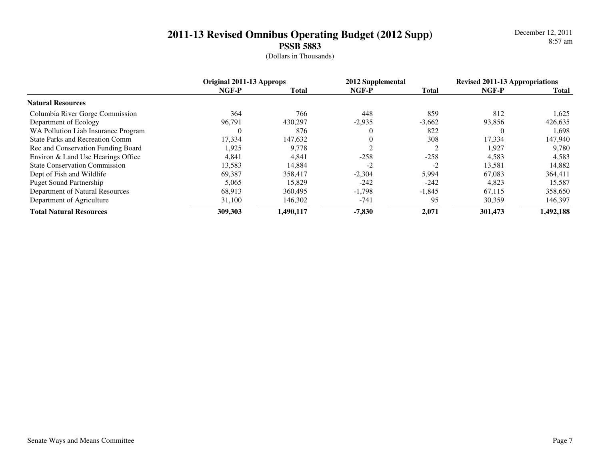December 12, 20118:57 am

|                                        | Original 2011-13 Approps |              | 2012 Supplemental |              | <b>Revised 2011-13 Appropriations</b> |              |
|----------------------------------------|--------------------------|--------------|-------------------|--------------|---------------------------------------|--------------|
|                                        | NGF-P                    | <b>Total</b> | NGF-P             | <b>Total</b> | NGF-P                                 | <b>Total</b> |
| <b>Natural Resources</b>               |                          |              |                   |              |                                       |              |
| Columbia River Gorge Commission        | 364                      | 766          | 448               | 859          | 812                                   | 1,625        |
| Department of Ecology                  | 96,791                   | 430,297      | $-2,935$          | $-3,662$     | 93,856                                | 426,635      |
| WA Pollution Liab Insurance Program    | U                        | 876          | 0                 | 822          | 0                                     | 1,698        |
| <b>State Parks and Recreation Comm</b> | 17,334                   | 147,632      | 0                 | 308          | 17,334                                | 147,940      |
| Rec and Conservation Funding Board     | 1,925                    | 9,778        |                   | っ            | 1.927                                 | 9,780        |
| Environ & Land Use Hearings Office     | 4,841                    | 4,841        | $-258$            | $-258$       | 4,583                                 | 4,583        |
| <b>State Conservation Commission</b>   | 13,583                   | 14,884       | $-2$              | $-2$         | 13,581                                | 14,882       |
| Dept of Fish and Wildlife              | 69,387                   | 358,417      | $-2,304$          | 5,994        | 67,083                                | 364,411      |
| <b>Puget Sound Partnership</b>         | 5.065                    | 15.829       | $-242$            | $-242$       | 4,823                                 | 15,587       |
| Department of Natural Resources        | 68,913                   | 360,495      | $-1,798$          | $-1,845$     | 67,115                                | 358,650      |
| Department of Agriculture              | 31,100                   | 146,302      | -741              | 95           | 30,359                                | 146,397      |
| <b>Total Natural Resources</b>         | 309,303                  | 1,490,117    | $-7,830$          | 2,071        | 301,473                               | 1,492,188    |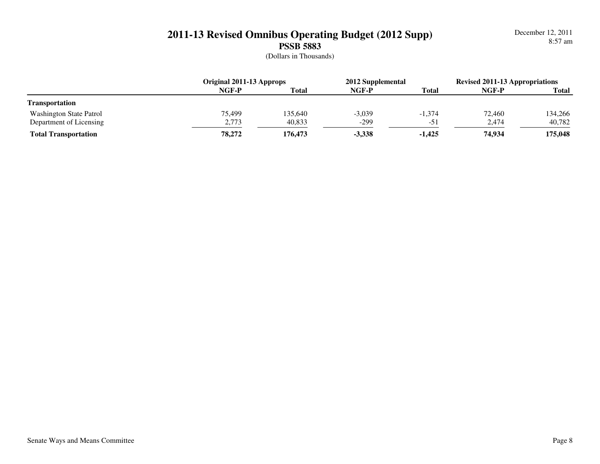December 12, 20118:57 am

|                             | Original 2011-13 Approps |              | 2012 Supplemental |              | <b>Revised 2011-13 Appropriations</b> |              |
|-----------------------------|--------------------------|--------------|-------------------|--------------|---------------------------------------|--------------|
|                             | NGF-P                    | <b>Total</b> | NGF-P             | <b>Total</b> | NGF-P                                 | <b>Total</b> |
| <b>Transportation</b>       |                          |              |                   |              |                                       |              |
| Washington State Patrol     | 75.499                   | 135,640      | $-3,039$          | $-1,374$     | 72,460                                | 134,266      |
| Department of Licensing     | 2,773                    | 40,833       | $-299$            | $-51$        | 2,474                                 | 40,782       |
| <b>Total Transportation</b> | 78,272                   | 176,473      | $-3,338$          | $-1,425$     | 74,934                                | 175,048      |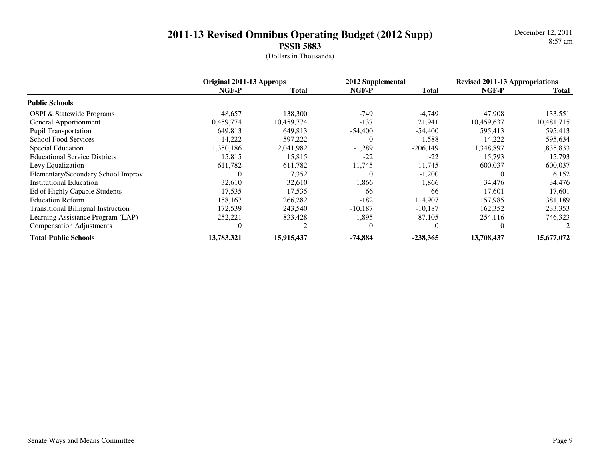December 12, 20118:57 am

|                                           | Original 2011-13 Approps |              | 2012 Supplemental |              | <b>Revised 2011-13 Appropriations</b> |            |
|-------------------------------------------|--------------------------|--------------|-------------------|--------------|---------------------------------------|------------|
|                                           | NGF-P                    | <b>Total</b> | NGF-P             | <b>Total</b> | NGF-P                                 | Total      |
| <b>Public Schools</b>                     |                          |              |                   |              |                                       |            |
| <b>OSPI &amp; Statewide Programs</b>      | 48,657                   | 138,300      | $-749$            | $-4,749$     | 47,908                                | 133,551    |
| General Apportionment                     | 10.459.774               | 10,459,774   | $-137$            | 21,941       | 10.459.637                            | 10,481,715 |
| <b>Pupil Transportation</b>               | 649,813                  | 649,813      | $-54,400$         | $-54,400$    | 595,413                               | 595,413    |
| <b>School Food Services</b>               | 14,222                   | 597,222      | $\theta$          | $-1,588$     | 14,222                                | 595,634    |
| Special Education                         | 1,350,186                | 2,041,982    | $-1,289$          | $-206,149$   | 1,348,897                             | 1,835,833  |
| <b>Educational Service Districts</b>      | 15,815                   | 15,815       | $-22$             | $-22$        | 15,793                                | 15,793     |
| Levy Equalization                         | 611,782                  | 611,782      | $-11,745$         | $-11,745$    | 600,037                               | 600,037    |
| Elementary/Secondary School Improv        | 0                        | 7,352        | 0                 | $-1,200$     | 0                                     | 6,152      |
| <b>Institutional Education</b>            | 32,610                   | 32,610       | 1,866             | 1,866        | 34,476                                | 34,476     |
| Ed of Highly Capable Students             | 17,535                   | 17,535       | 66                | 66           | 17,601                                | 17,601     |
| <b>Education Reform</b>                   | 158,167                  | 266,282      | $-182$            | 114,907      | 157,985                               | 381,189    |
| <b>Transitional Bilingual Instruction</b> | 172,539                  | 243,540      | $-10,187$         | $-10,187$    | 162,352                               | 233,353    |
| Learning Assistance Program (LAP)         | 252,221                  | 833,428      | 1,895             | $-87,105$    | 254,116                               | 746,323    |
| <b>Compensation Adjustments</b>           |                          |              |                   |              |                                       |            |
| <b>Total Public Schools</b>               | 13,783,321               | 15,915,437   | $-74,884$         | $-238,365$   | 13,708,437                            | 15,677,072 |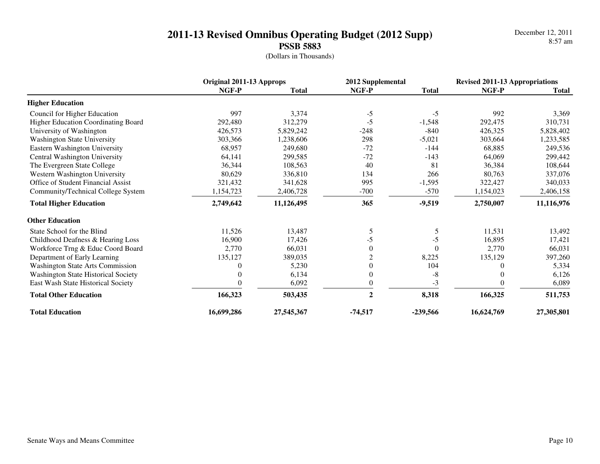December 12, 20118:57 am

|                                            | Original 2011-13 Approps |              | 2012 Supplemental |              | <b>Revised 2011-13 Appropriations</b> |              |
|--------------------------------------------|--------------------------|--------------|-------------------|--------------|---------------------------------------|--------------|
|                                            | NGF-P                    | <b>Total</b> | NGF-P             | <b>Total</b> | NGF-P                                 | <b>Total</b> |
| <b>Higher Education</b>                    |                          |              |                   |              |                                       |              |
| Council for Higher Education               | 997                      | 3,374        | $-5$              | $-5$         | 992                                   | 3,369        |
| <b>Higher Education Coordinating Board</b> | 292,480                  | 312,279      | $-5$              | $-1,548$     | 292,475                               | 310,731      |
| University of Washington                   | 426,573                  | 5,829,242    | $-248$            | $-840$       | 426,325                               | 5,828,402    |
| <b>Washington State University</b>         | 303,366                  | 1,238,606    | 298               | $-5,021$     | 303,664                               | 1,233,585    |
| Eastern Washington University              | 68,957                   | 249,680      | $-72$             | $-144$       | 68,885                                | 249,536      |
| Central Washington University              | 64,141                   | 299,585      | $-72$             | $-143$       | 64,069                                | 299,442      |
| The Evergreen State College                | 36,344                   | 108,563      | 40                | 81           | 36,384                                | 108,644      |
| Western Washington University              | 80,629                   | 336,810      | 134               | 266          | 80,763                                | 337,076      |
| <b>Office of Student Financial Assist</b>  | 321,432                  | 341,628      | 995               | $-1,595$     | 322,427                               | 340,033      |
| Community/Technical College System         | 1,154,723                | 2,406,728    | $-700$            | $-570$       | 1,154,023                             | 2,406,158    |
| <b>Total Higher Education</b>              | 2,749,642                | 11,126,495   | 365               | $-9,519$     | 2,750,007                             | 11,116,976   |
| <b>Other Education</b>                     |                          |              |                   |              |                                       |              |
| State School for the Blind                 | 11,526                   | 13,487       | 5                 | 5            | 11,531                                | 13,492       |
| Childhood Deafness & Hearing Loss          | 16,900                   | 17,426       | -5                | $-5$         | 16,895                                | 17,421       |
| Workforce Trng & Educ Coord Board          | 2,770                    | 66,031       | $\theta$          | $\theta$     | 2,770                                 | 66,031       |
| Department of Early Learning               | 135,127                  | 389,035      | $\overline{2}$    | 8,225        | 135,129                               | 397,260      |
| <b>Washington State Arts Commission</b>    | 0                        | 5,230        | 0                 | 104          | 0                                     | 5,334        |
| <b>Washington State Historical Society</b> | 0                        | 6,134        | $\overline{0}$    | $-8$         | 0                                     | 6,126        |
| East Wash State Historical Society         |                          | 6,092        | 0                 | $-3$         |                                       | 6,089        |
| <b>Total Other Education</b>               | 166,323                  | 503,435      | $\overline{2}$    | 8,318        | 166,325                               | 511,753      |
| <b>Total Education</b>                     | 16,699,286               | 27,545,367   | $-74,517$         | $-239,566$   | 16,624,769                            | 27,305,801   |